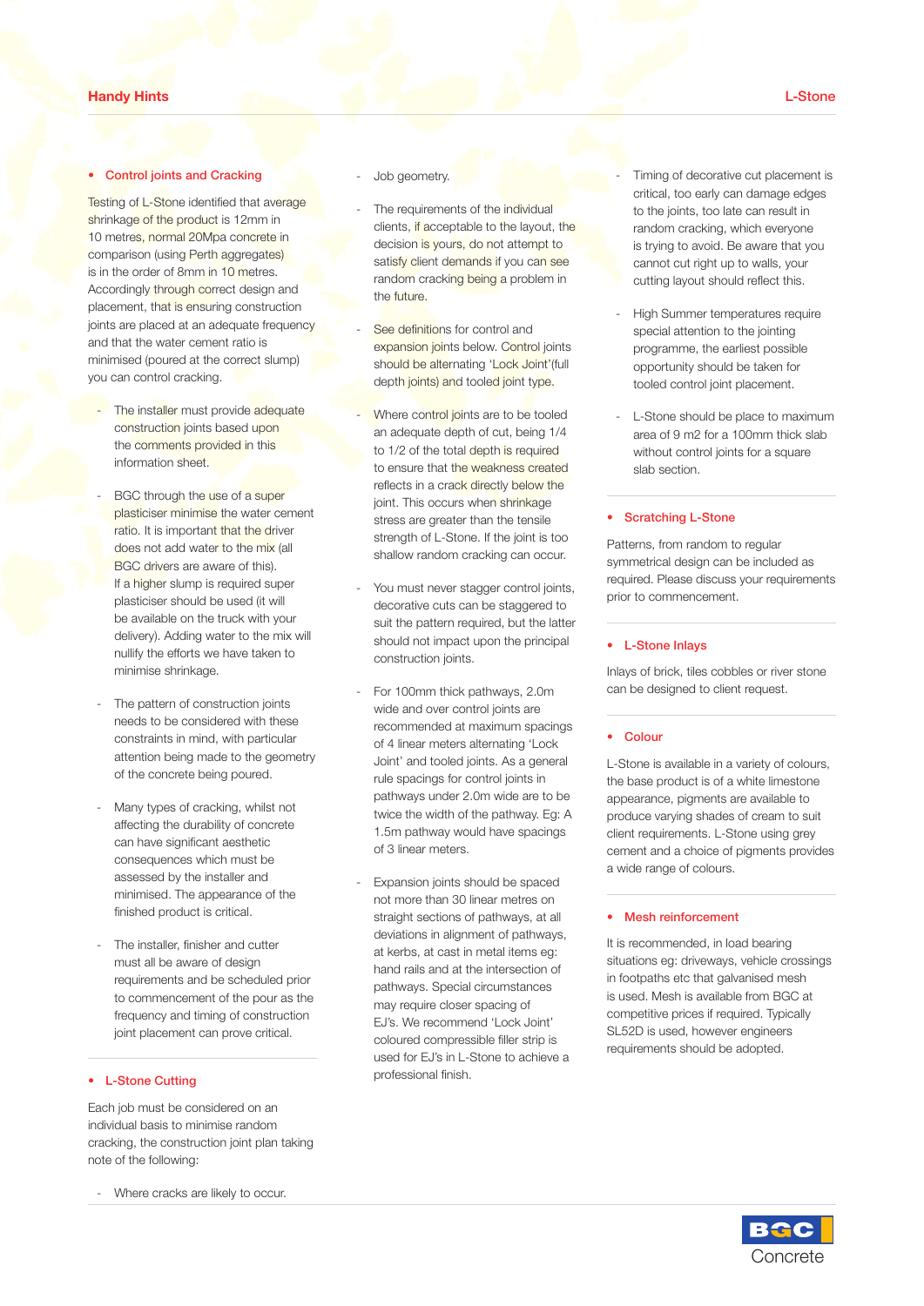### **Handy Hints** L**-**Stone in addition to expert finishing skills and the skills are skills and the skills are skills are skills are skills are skills are skills and the skills are skills are skills are skills and the skills are skills are skills ar

required to ensure that a consistent

### **Control joints and Cracking** the mix being supplied, don't cut corners.

Testing of L-Stone identified that average shrinkage of the product is 12mm in 10 metre<mark>s, normal 20Mpa concrete in</mark> comparison (using Perth aggregates) and washing operation. is in the order of 8mm in 10 metres. **include the Accordingly through correct design and it will have the appearance of EX2514A12, it will have the appearance of EX2514A12, it will have the appearance of EX2514A12, it will have the appearance of EX2514A12, it will have the appearance of EX2514A12, it will hav** joints are placed at an adequate frequency and that the water cement ratio is minimised (poured at the correct slump) **and the colour colour colour colour colour colour colour colour.** Without colour. Without colour.  $\frac{1}{2}$  are codes. It is in case the case exposed.<br>
International case of the strength, and the size of the size of the size of the size of the size of the size o oonomaan<br>Dadaanata fraank

- The installer must provide adequate construction joints based upon the comments provided in this information sheet. Concrete personnel are available to provide expert advice you have seen
	- BGC through the use of a super plasticiser minimise the water cement ratio. It is important that the driver does not add water to the mix (all BGC drivers are aware of this). If a higher slump is required super plasticiser should be used (it will be available on the truck with your delivery). Adding water to the mix will nullify the efforts we have taken to minimise shrinkage. Consistency is everything, same day washing is not as effective as the use as  $\mathsf{BGC}$ of a surface set retarder which allows the surface set  $\alpha$  surface set  $\alpha$ the concrete to be exposed on the  $f$  day. Same day. Same day. Same day. Same day. Same day. Same day. Same day. Same day. Same day. Same day  $f$ reliant upon the skills of the skills of the skills of the skills of the contractor, the contractor, the contractor, the contractor, the contractor, the contractor, the contractor, the contractor, the contractor, the contr it can be affected by differential setting by differential setting  $\mathbf{r}$
	- The pattern of construction joints needs to be considered with these constraints in mind, with particular attention being made to the geometry of the concrete being poured. consistent<br>of ensure and to ensure an even
	- Many types of cracking, whilst not affecting the durability of concrete **for the two materials.**<br>
	affecting the durability of concrete can have significant aesthetic consequences which must be assessed by the installer and minimised. The appearance of the the concrete does not more than 30 li finished product is critical. concrete can be over the concrete can be observed that  $\sim$  Many result in an entirely different appearance in a set of the set of the set of the set of the set of the set of <br>The set of the set of the set of the set of the set of the set of the set of the set of the set of the set of t of the finished surface.<br>Concrete where  $\alpha$  asse set retarders, they take they take they take they take they take they take they take they take they take they <br>Internationally be a state of the risk of the risk of the risk of the risk of the risk of the risk of the risk exposed concrete and achieve a more and achieve a more and achieve a more and achieve a more and achieve a mor  $t$  must be  $t$ .
	- The installer, finisher and cutter must all be aware of design requirements and be scheduled prior to commencement of the pour as the frequency and timing of construction joint placement can prove critical. manufacturers recommendations.

### • L-Stone Cutting seeded, be aware this is a subjective

Each job must be considered on an individual basis to minimise random cracking, the construction joint plan taking note of the following: is such that contract the contractor, or see and the contractor, or see and the contractor, or see a<br>The contractor, or see and the contractor, or see and the contractor, or see and the contractor, or see and th wells etc should be within the sand, note that we will be within the sand, note that we will be within the sand

- Where cracks are likely to occur.

- Job geometry. **If the set of the set of the theorem** is the theorem of the theorem is the theorem is the theorem is the theorem
- For that average **cover the requirements of the individual**  $\frac{1}{2}$  clients, if acceptable to the layout, the concrete in decision is yours, do not attempt to satisfy client demands if you can see random cracking being a problem in the future.
- See definitions for control and t ratio is **Expansion joints below. Control joints** should be alternating 'Lock Joint'(full should be alternating 'Lock Joint'(full depth joints) and tooled joint type.
- puide adequate **business.** Where control joints are to be tooled an adequate depth of cut, being 1/4 to 1/2 of the total depth is required to the total depth is required<br>to ensure that the weakness created reflects in a crack directly below the joint. This occurs when shrinkage stress are greater than the tensile strength of L-Stone. If the joint is too shallow random cracking can occur.
- iquired super and the contractor of the contractors, in the contractor is not to tool. It is not to tool in th<br>superfect to the contract in the contract in the contract of the contract of the contract of the contract of t decorative cuts can be staggered to use the case of the staggered to<br>suit the pattern required, but the latter er to the mix will should not impact upon the principal iave taken to construction joints. do not allow heavy vehicles to drive on the control of the control of the control of the control of the control of the control of the control of the control of the control of the control of the control of the control of th
- For 100mm thick pathways, 2.0m wide and over control joints are recommended at maximum spacings of 4 linear meters alternating 'Lock Joint' and tooled joints. As a general poured.<br>
Fully spacings for control joints in pathways under 2.0m wide are to be twice the width of the pathway. Eg: A 1.5m pathway would have spacings aesthetic of 3 linear meters.  $\overline{\phantom{a}}$
- Expansion joints should be spaced not more than 30 linear metres on itical. The british of pathways, at all deviations in alignment of pathways, at kerbs, at cast in metal items eg: hand rails and at the intersection of pathways. Special circumstances t the pour as the may require closer spacing of of construction<br>
EJ's. We recommend 'Lock Joint' coloured compressible filler strip is  $\frac{1}{2}$ used for EJ's in L-Stone to achieve a<br>show used for EJ's in L-Stone to achieve a professional finish. Generally completed several days  $T_{\rm eff}$

**Expose the surface term in the surface of the surface of the surface the surface of the surface the surface on the surface of the surface of the surface of the surface of the surface of the surface of the surface of the s** critical, too early can damage edges to the joints, too late can result in random cracking, which everyone is trying to avoid. Be aware that you P cannot cut right up to walls, your important that a surface retarder is used, that is used, in the surface retarder is used,  $\frac{1}{2}$  and  $\frac{1}{2}$  cutting layout should reflect this.

concrete, if using a surface set retarder

- High Summer temperatures require special attention to the jointing s brogramme, the earliest possible surface, the surface areas areas areas areas areas areas areas areas areas in the surface areas areas areas areas areas areas areas areas areas areas areas areas areas areas areas areas a opportunity should be taken for tooled control joint placement.
- I and the L-Stone should be place to maximum area of 9 m2 for a 100mm thick slab area or 9 m2 for a Toomm thick state<br>without control joints for a square slab section.<br> **Slab** section.

## • Scratching L-Stone  $s_{\text{total}}$  and  $s_{\text{total}}$  are garage and avoid costly conditioning  $\mathcal{L}$  costly conditioning  $\mathcal{L}$

Patterns, from random to regular<br>
clean up of the clean up of the clean up of the clean up of the clean up of the clean up of the clean up of th symmetrical design can be included as symmetrical design can be included as<br>required. Please discuss your requirements s, exposed a commencement.

# 』<br>
■ 
■ 
■ 
■ L-Stone Inlays

Inlays of brick, tiles cobbles or river stone m ean be designed to client request.

### • Colour  $\bullet$  Colour

 $\blacksquare$  L-Stone is available in a variety of colours, the base product is of a white limestone appearance, pigments are available to appotential for pigments are available to<br>A produce varying shades of cream to suit client requirements. L-Stone using grey cement and a choice of pigments provides a wide range of colours.

### • Mesh reinforcement

It is recommended, in load bearing situations eg: driveways, vehicle crossings in footpaths etc that galvanised mesh is used. Mesh is available from BGC at competitive prices if required. Typically SL52D is used, however engineers requirements should be adopted.